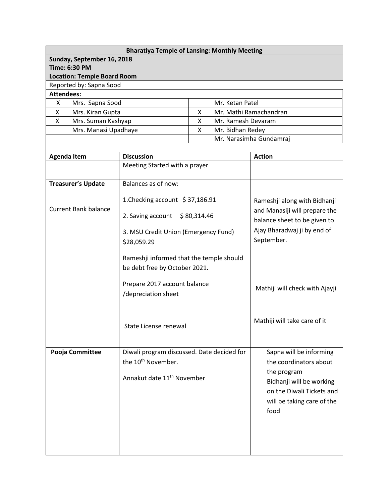| <b>Bharatiya Temple of Lansing: Monthly Meeting</b><br>Sunday, September 16, 2018 |                             |                                            |  |                        |                                |  |  |  |  |
|-----------------------------------------------------------------------------------|-----------------------------|--------------------------------------------|--|------------------------|--------------------------------|--|--|--|--|
|                                                                                   |                             |                                            |  |                        |                                |  |  |  |  |
| <b>Time: 6:30 PM</b>                                                              |                             |                                            |  |                        |                                |  |  |  |  |
| <b>Location: Temple Board Room</b><br>Reported by: Sapna Sood                     |                             |                                            |  |                        |                                |  |  |  |  |
| <b>Attendees:</b>                                                                 |                             |                                            |  |                        |                                |  |  |  |  |
| X                                                                                 |                             |                                            |  | Mr. Ketan Patel        |                                |  |  |  |  |
| Mrs. Sapna Sood                                                                   |                             |                                            |  | Mr. Mathi Ramachandran |                                |  |  |  |  |
| Mrs. Kiran Gupta<br>X                                                             |                             | X<br>X                                     |  |                        |                                |  |  |  |  |
| X<br>Mrs. Suman Kashyap                                                           |                             | Mr. Ramesh Devaram                         |  |                        |                                |  |  |  |  |
| Mrs. Manasi Upadhaye                                                              |                             | X<br>Mr. Bidhan Redey                      |  |                        |                                |  |  |  |  |
|                                                                                   |                             |                                            |  |                        | Mr. Narasimha Gundamraj        |  |  |  |  |
|                                                                                   |                             |                                            |  |                        |                                |  |  |  |  |
| <b>Agenda Item</b>                                                                |                             | <b>Discussion</b>                          |  | <b>Action</b>          |                                |  |  |  |  |
|                                                                                   |                             | Meeting Started with a prayer              |  |                        |                                |  |  |  |  |
| <b>Treasurer's Update</b>                                                         |                             | Balances as of now:                        |  |                        |                                |  |  |  |  |
|                                                                                   |                             |                                            |  |                        |                                |  |  |  |  |
|                                                                                   |                             | 1. Checking account $$37,186.91$           |  |                        | Rameshji along with Bidhanji   |  |  |  |  |
|                                                                                   | <b>Current Bank balance</b> |                                            |  |                        | and Manasiji will prepare the  |  |  |  |  |
|                                                                                   |                             | 2. Saving account<br>\$80,314.46           |  |                        | balance sheet to be given to   |  |  |  |  |
|                                                                                   |                             | 3. MSU Credit Union (Emergency Fund)       |  |                        | Ajay Bharadwaj ji by end of    |  |  |  |  |
|                                                                                   |                             | \$28,059.29                                |  |                        | September.                     |  |  |  |  |
|                                                                                   |                             |                                            |  |                        |                                |  |  |  |  |
|                                                                                   |                             | Rameshji informed that the temple should   |  |                        |                                |  |  |  |  |
|                                                                                   |                             | be debt free by October 2021.              |  |                        |                                |  |  |  |  |
|                                                                                   |                             |                                            |  |                        |                                |  |  |  |  |
|                                                                                   |                             | Prepare 2017 account balance               |  |                        |                                |  |  |  |  |
|                                                                                   |                             | /depreciation sheet                        |  |                        | Mathiji will check with Ajayji |  |  |  |  |
|                                                                                   |                             |                                            |  |                        |                                |  |  |  |  |
|                                                                                   |                             |                                            |  |                        |                                |  |  |  |  |
|                                                                                   |                             |                                            |  |                        | Mathiji will take care of it   |  |  |  |  |
|                                                                                   |                             | State License renewal                      |  |                        |                                |  |  |  |  |
|                                                                                   |                             |                                            |  |                        |                                |  |  |  |  |
| Pooja Committee                                                                   |                             | Diwali program discussed. Date decided for |  |                        | Sapna will be informing        |  |  |  |  |
|                                                                                   |                             | the 10 <sup>th</sup> November.             |  |                        | the coordinators about         |  |  |  |  |
|                                                                                   |                             |                                            |  |                        |                                |  |  |  |  |
|                                                                                   |                             | Annakut date 11 <sup>th</sup> November     |  |                        | the program                    |  |  |  |  |
|                                                                                   |                             |                                            |  |                        | Bidhanji will be working       |  |  |  |  |
|                                                                                   |                             |                                            |  |                        | on the Diwali Tickets and      |  |  |  |  |
|                                                                                   |                             |                                            |  |                        | will be taking care of the     |  |  |  |  |
|                                                                                   |                             |                                            |  | food                   |                                |  |  |  |  |
|                                                                                   |                             |                                            |  |                        |                                |  |  |  |  |
|                                                                                   |                             |                                            |  |                        |                                |  |  |  |  |
|                                                                                   |                             |                                            |  |                        |                                |  |  |  |  |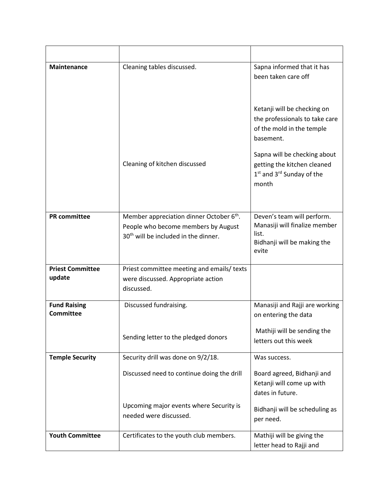| <b>Maintenance</b>                      | Cleaning tables discussed.                                                                                                                      | Sapna informed that it has<br>been taken care off                                                                         |
|-----------------------------------------|-------------------------------------------------------------------------------------------------------------------------------------------------|---------------------------------------------------------------------------------------------------------------------------|
|                                         |                                                                                                                                                 | Ketanji will be checking on<br>the professionals to take care<br>of the mold in the temple<br>basement.                   |
|                                         | Cleaning of kitchen discussed                                                                                                                   | Sapna will be checking about<br>getting the kitchen cleaned<br>1 <sup>st</sup> and 3 <sup>rd</sup> Sunday of the<br>month |
| <b>PR</b> committee                     | Member appreciation dinner October 6 <sup>th</sup> .<br>People who become members by August<br>30 <sup>th</sup> will be included in the dinner. | Deven's team will perform.<br>Manasiji will finalize member<br>list.<br>Bidhanji will be making the<br>evite              |
| <b>Priest Committee</b><br>update       | Priest committee meeting and emails/ texts<br>were discussed. Appropriate action<br>discussed.                                                  |                                                                                                                           |
| <b>Fund Raising</b><br><b>Committee</b> | Discussed fundraising.                                                                                                                          | Manasiji and Rajji are working<br>on entering the data                                                                    |
|                                         | Sending letter to the pledged donors                                                                                                            | Mathiji will be sending the<br>letters out this week                                                                      |
| <b>Temple Security</b>                  | Security drill was done on 9/2/18.                                                                                                              | Was success.                                                                                                              |
|                                         | Discussed need to continue doing the drill                                                                                                      | Board agreed, Bidhanji and<br>Ketanji will come up with<br>dates in future.                                               |
|                                         | Upcoming major events where Security is<br>needed were discussed.                                                                               | Bidhanji will be scheduling as<br>per need.                                                                               |
| <b>Youth Committee</b>                  | Certificates to the youth club members.                                                                                                         | Mathiji will be giving the<br>letter head to Rajji and                                                                    |